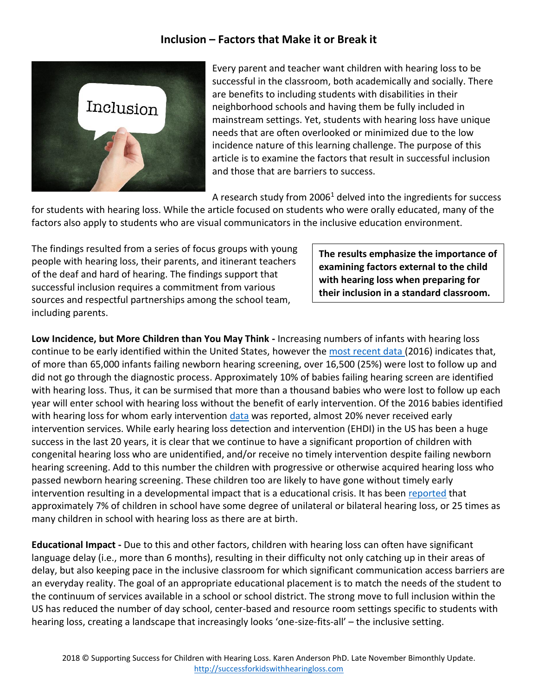## **Inclusion – Factors that Make it or Break it**



Every parent and teacher want children with hearing loss to be successful in the classroom, both academically and socially. There are benefits to including students with disabilities in their neighborhood schools and having them be fully included in mainstream settings. Yet, students with hearing loss have unique needs that are often overlooked or minimized due to the low incidence nature of this learning challenge. The purpose of this article is to examine the factors that result in successful inclusion and those that are barriers to success.

A research study from  $2006<sup>1</sup>$  delved into the ingredients for success

for students with hearing loss. While the article focused on students who were orally educated, many of the factors also apply to students who are visual communicators in the inclusive education environment.

The findings resulted from a series of focus groups with young people with hearing loss, their parents, and itinerant teachers of the deaf and hard of hearing. The findings support that successful inclusion requires a commitment from various sources and respectful partnerships among the school team, including parents.

**The results emphasize the importance of examining factors external to the child with hearing loss when preparing for their inclusion in a standard classroom.**

**Low Incidence, but More Children than You May Think -** Increasing numbers of infants with hearing loss continue to be early identified within the United States, however the [most recent data](https://www.cdc.gov/ncbddd/hearingloss/2016-data/06-diagnostics.html) (2016) indicates that, of more than 65,000 infants failing newborn hearing screening, over 16,500 (25%) were lost to follow up and did not go through the diagnostic process. Approximately 10% of babies failing hearing screen are identified with hearing loss. Thus, it can be surmised that more than a thousand babies who were lost to follow up each year will enter school with hearing loss without the benefit of early intervention. Of the 2016 babies identified with hearing loss for whom early intervention [data](https://www.cdc.gov/ncbddd/hearingloss/2016-data/09-early-Intervention.html) was reported, almost 20% never received early intervention services. While early hearing loss detection and intervention (EHDI) in the US has been a huge success in the last 20 years, it is clear that we continue to have a significant proportion of children with congenital hearing loss who are unidentified, and/or receive no timely intervention despite failing newborn hearing screening. Add to this number the children with progressive or otherwise acquired hearing loss who passed newborn hearing screening. These children too are likely to have gone without timely early intervention resulting in a developmental impact that is a educational crisis. It has been [reported](https://www.thieme-connect.com/products/ejournals/abstract/10.1055/s-2008-1075820) that approximately 7% of children in school have some degree of unilateral or bilateral hearing loss, or 25 times as many children in school with hearing loss as there are at birth.

**Educational Impact -** Due to this and other factors, children with hearing loss can often have significant language delay (i.e., more than 6 months), resulting in their difficulty not only catching up in their areas of delay, but also keeping pace in the inclusive classroom for which significant communication access barriers are an everyday reality. The goal of an appropriate educational placement is to match the needs of the student to the continuum of services available in a school or school district. The strong move to full inclusion within the US has reduced the number of day school, center-based and resource room settings specific to students with hearing loss, creating a landscape that increasingly looks 'one-size-fits-all' – the inclusive setting.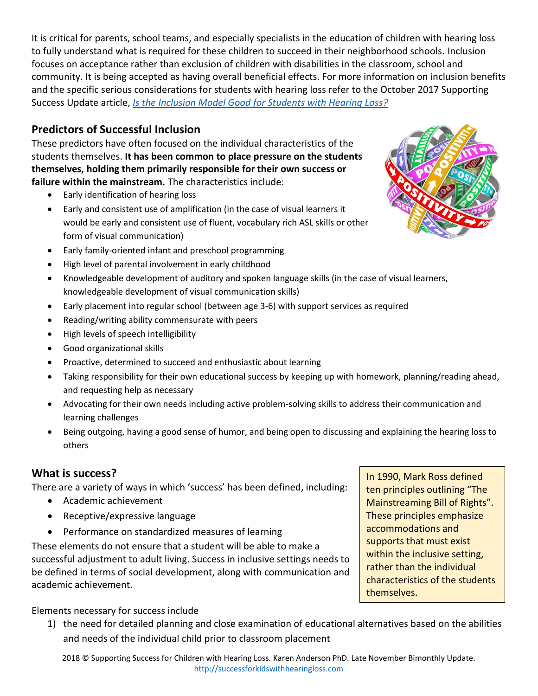It is critical for parents, school teams, and especially specialists in the education of children with hearing loss to fully understand what is required for these children to succeed in their neighborhood schools. Inclusion focuses on acceptance rather than exclusion of children with disabilities in the classroom, school and community. It is being accepted as having overall beneficial effects. For more information on inclusion benefits and the specific serious considerations for students with hearing loss refer to the October 2017 Supporting Success Update article, *[Is the Inclusion Model Good for Students with Hearing Loss?](https://successforkidswithhearingloss.com/wp-content/uploads/2017/06/Is-the-Inclusion-Model-Good-for-Students-with-Hearing-Loss.pdf)*

# **Predictors of Successful Inclusion**

These predictors have often focused on the individual characteristics of the students themselves. **It has been common to place pressure on the students themselves, holding them primarily responsible for their own success or failure within the mainstream.** The characteristics include:

- Early identification of hearing loss
- Early and consistent use of amplification (in the case of visual learners it would be early and consistent use of fluent, vocabulary rich ASL skills or other form of visual communication)
- 
- Early family-oriented infant and preschool programming
- High level of parental involvement in early childhood
- Knowledgeable development of auditory and spoken language skills (in the case of visual learners, knowledgeable development of visual communication skills)
- Early placement into regular school (between age 3-6) with support services as required
- Reading/writing ability commensurate with peers
- High levels of speech intelligibility
- Good organizational skills
- Proactive, determined to succeed and enthusiastic about learning
- Taking responsibility for their own educational success by keeping up with homework, planning/reading ahead, and requesting help as necessary
- Advocating for their own needs including active problem-solving skills to address their communication and learning challenges
- Being outgoing, having a good sense of humor, and being open to discussing and explaining the hearing loss to others

# **What is success?**

There are a variety of ways in which 'success' has been defined, including:

- Academic achievement
- Receptive/expressive language
- Performance on standardized measures of learning

These elements do not ensure that a student will be able to make a successful adjustment to adult living. Success in inclusive settings needs to be defined in terms of social development, along with communication and academic achievement.

In 1990, Mark Ross defined ten principles outlining "The Mainstreaming Bill of Rights". These principles emphasize accommodations and supports that must exist within the inclusive setting, rather than the individual characteristics of the students themselves.

Elements necessary for success include

1) the need for detailed planning and close examination of educational alternatives based on the abilities and needs of the individual child prior to classroom placement

2018 © Supporting Success for Children with Hearing Loss. Karen Anderson PhD. Late November Bimonthly Update. [http://successforkidswithhearingloss.com](http://successforkidswithhearingloss.com/)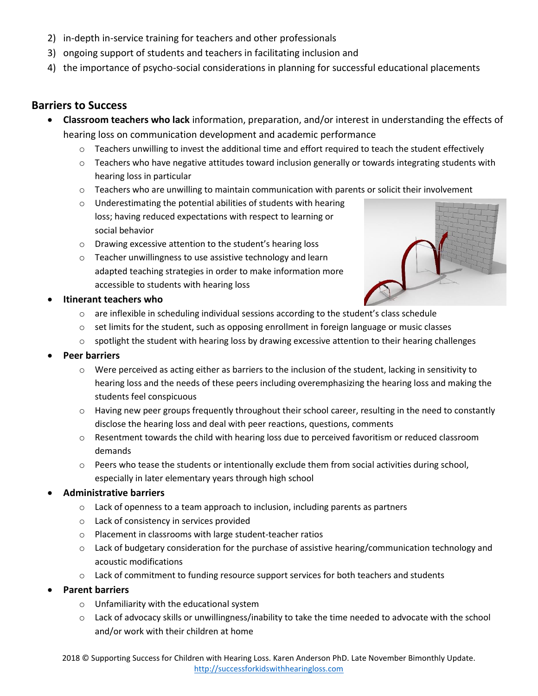- 2) in-depth in-service training for teachers and other professionals
- 3) ongoing support of students and teachers in facilitating inclusion and
- 4) the importance of psycho-social considerations in planning for successful educational placements

## **Barriers to Success**

- **Classroom teachers who lack** information, preparation, and/or interest in understanding the effects of hearing loss on communication development and academic performance
	- $\circ$  Teachers unwilling to invest the additional time and effort required to teach the student effectively
	- $\circ$  Teachers who have negative attitudes toward inclusion generally or towards integrating students with hearing loss in particular
	- $\circ$  Teachers who are unwilling to maintain communication with parents or solicit their involvement
	- o Underestimating the potential abilities of students with hearing loss; having reduced expectations with respect to learning or social behavior
	- o Drawing excessive attention to the student's hearing loss
	- o Teacher unwillingness to use assistive technology and learn adapted teaching strategies in order to make information more accessible to students with hearing loss



#### • **Itinerant teachers who**

- $\circ$  are inflexible in scheduling individual sessions according to the student's class schedule
- $\circ$  set limits for the student, such as opposing enrollment in foreign language or music classes
- $\circ$  spotlight the student with hearing loss by drawing excessive attention to their hearing challenges
- **Peer barriers**
	- $\circ$  Were perceived as acting either as barriers to the inclusion of the student, lacking in sensitivity to hearing loss and the needs of these peers including overemphasizing the hearing loss and making the students feel conspicuous
	- $\circ$  Having new peer groups frequently throughout their school career, resulting in the need to constantly disclose the hearing loss and deal with peer reactions, questions, comments
	- o Resentment towards the child with hearing loss due to perceived favoritism or reduced classroom demands
	- $\circ$  Peers who tease the students or intentionally exclude them from social activities during school, especially in later elementary years through high school

#### • **Administrative barriers**

- o Lack of openness to a team approach to inclusion, including parents as partners
- o Lack of consistency in services provided
- o Placement in classrooms with large student-teacher ratios
- $\circ$  Lack of budgetary consideration for the purchase of assistive hearing/communication technology and acoustic modifications
- $\circ$  Lack of commitment to funding resource support services for both teachers and students
- **Parent barriers**
	- o Unfamiliarity with the educational system
	- o Lack of advocacy skills or unwillingness/inability to take the time needed to advocate with the school and/or work with their children at home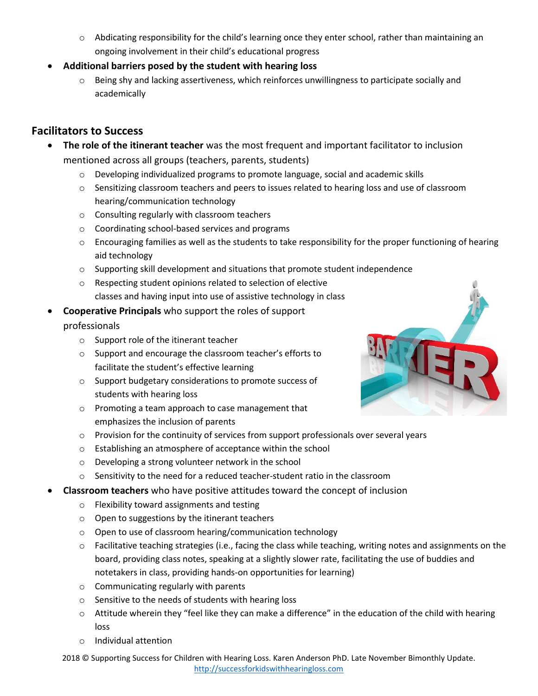- o Abdicating responsibility for the child's learning once they enter school, rather than maintaining an ongoing involvement in their child's educational progress
- **Additional barriers posed by the student with hearing loss**
	- $\circ$  Being shy and lacking assertiveness, which reinforces unwillingness to participate socially and academically

# **Facilitators to Success**

- **The role of the itinerant teacher** was the most frequent and important facilitator to inclusion mentioned across all groups (teachers, parents, students)
	- o Developing individualized programs to promote language, social and academic skills
	- o Sensitizing classroom teachers and peers to issues related to hearing loss and use of classroom hearing/communication technology
	- o Consulting regularly with classroom teachers
	- o Coordinating school-based services and programs
	- o Encouraging families as well as the students to take responsibility for the proper functioning of hearing aid technology
	- $\circ$  Supporting skill development and situations that promote student independence
	- o Respecting student opinions related to selection of elective classes and having input into use of assistive technology in class
- **Cooperative Principals** who support the roles of support

### professionals

- o Support role of the itinerant teacher
- o Support and encourage the classroom teacher's efforts to facilitate the student's effective learning
- o Support budgetary considerations to promote success of students with hearing loss
- o Promoting a team approach to case management that emphasizes the inclusion of parents
- $\circ$  Provision for the continuity of services from support professionals over several years
- o Establishing an atmosphere of acceptance within the school
- o Developing a strong volunteer network in the school
- $\circ$  Sensitivity to the need for a reduced teacher-student ratio in the classroom
- **Classroom teachers** who have positive attitudes toward the concept of inclusion
	- o Flexibility toward assignments and testing
	- o Open to suggestions by the itinerant teachers
	- o Open to use of classroom hearing/communication technology
	- $\circ$  Facilitative teaching strategies (i.e., facing the class while teaching, writing notes and assignments on the board, providing class notes, speaking at a slightly slower rate, facilitating the use of buddies and notetakers in class, providing hands-on opportunities for learning)
	- o Communicating regularly with parents
	- o Sensitive to the needs of students with hearing loss
	- $\circ$  Attitude wherein they "feel like they can make a difference" in the education of the child with hearing loss
	- o Individual attention

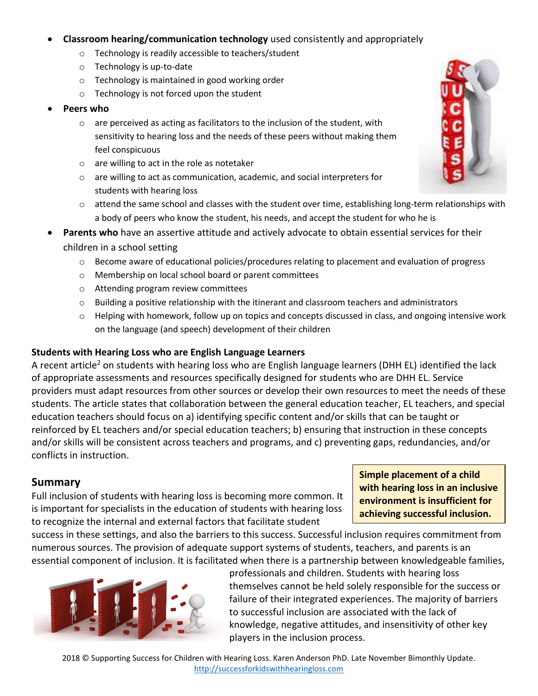- **Classroom hearing/communication technology** used consistently and appropriately
	- o Technology is readily accessible to teachers/student
	- o Technology is up-to-date
	- o Technology is maintained in good working order
	- o Technology is not forced upon the student
- **Peers who**
	- $\circ$  are perceived as acting as facilitators to the inclusion of the student, with sensitivity to hearing loss and the needs of these peers without making them feel conspicuous
	- o are willing to act in the role as notetaker
	- o are willing to act as communication, academic, and social interpreters for students with hearing loss
	- $\circ$  attend the same school and classes with the student over time, establishing long-term relationships with a body of peers who know the student, his needs, and accept the student for who he is
- **Parents who** have an assertive attitude and actively advocate to obtain essential services for their children in a school setting
	- $\circ$  Become aware of educational policies/procedures relating to placement and evaluation of progress
	- o Membership on local school board or parent committees
	- o Attending program review committees
	- $\circ$  Building a positive relationship with the itinerant and classroom teachers and administrators
	- $\circ$  Helping with homework, follow up on topics and concepts discussed in class, and ongoing intensive work on the language (and speech) development of their children

#### **Students with Hearing Loss who are English Language Learners**

A recent article<sup>2</sup> on students with hearing loss who are English language learners (DHH EL) identified the lack of appropriate assessments and resources specifically designed for students who are DHH EL. Service providers must adapt resources from other sources or develop their own resources to meet the needs of these students. The article states that collaboration between the general education teacher, EL teachers, and special education teachers should focus on a) identifying specific content and/or skills that can be taught or reinforced by EL teachers and/or special education teachers; b) ensuring that instruction in these concepts and/or skills will be consistent across teachers and programs, and c) preventing gaps, redundancies, and/or conflicts in instruction.

## **Summary**

Full inclusion of students with hearing loss is becoming more common. It is important for specialists in the education of students with hearing loss to recognize the internal and external factors that facilitate student

**Simple placement of a child with hearing loss in an inclusive environment is insufficient for achieving successful inclusion.**

success in these settings, and also the barriers to this success. Successful inclusion requires commitment from numerous sources. The provision of adequate support systems of students, teachers, and parents is an essential component of inclusion. It is facilitated when there is a partnership between knowledgeable families,



professionals and children. Students with hearing loss themselves cannot be held solely responsible for the success or failure of their integrated experiences. The majority of barriers to successful inclusion are associated with the lack of knowledge, negative attitudes, and insensitivity of other key players in the inclusion process.

2018 © Supporting Success for Children with Hearing Loss. Karen Anderson PhD. Late November Bimonthly Update. [http://successforkidswithhearingloss.com](http://successforkidswithhearingloss.com/)